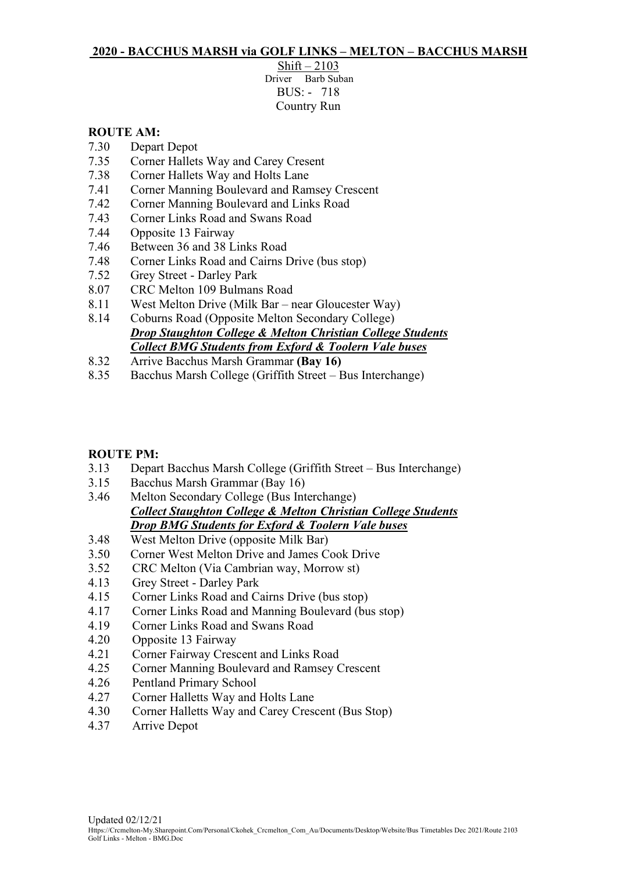## **2020 - BACCHUS MARSH via GOLF LINKS – MELTON – BACCHUS MARSH**

 $\frac{\text{Shift} - 2103}{\text{Direct} - \text{Barb Suban}}$ BUS: - 718 Country Run

## **ROUTE AM:**

- 7.30 Depart Depot
- 7.35 Corner Hallets Way and Carey Cresent
- 7.38 Corner Hallets Way and Holts Lane
- 7.41 Corner Manning Boulevard and Ramsey Crescent
- 7.42 Corner Manning Boulevard and Links Road
- 7.43 Corner Links Road and Swans Road
- 7.44 Opposite 13 Fairway
- 7.46 Between 36 and 38 Links Road
- 7.48 Corner Links Road and Cairns Drive (bus stop)
- 7.52 Grey Street Darley Park
- 8.07 CRC Melton 109 Bulmans Road
- 8.11 West Melton Drive (Milk Bar near Gloucester Way)
- 8.14 Coburns Road (Opposite Melton Secondary College) *Drop Staughton College & Melton Christian College Students Collect BMG Students from Exford & Toolern Vale buses*
- 8.32 Arrive Bacchus Marsh Grammar **(Bay 16)**
- 8.35 Bacchus Marsh College (Griffith Street Bus Interchange)

## **ROUTE PM:**

- 3.13 Depart Bacchus Marsh College (Griffith Street Bus Interchange)
- 3.15 Bacchus Marsh Grammar (Bay 16)
- 3.46 Melton Secondary College (Bus Interchange) *Collect Staughton College & Melton Christian College Students Drop BMG Students for Exford & Toolern Vale buses*
- 3.48 West Melton Drive (opposite Milk Bar)
- 3.50 Corner West Melton Drive and James Cook Drive
- 3.52 CRC Melton (Via Cambrian way, Morrow st)
- 4.13 Grey Street Darley Park
- 4.15 Corner Links Road and Cairns Drive (bus stop)
- 4.17 Corner Links Road and Manning Boulevard (bus stop)
- 4.19 Corner Links Road and Swans Road
- 4.20 Opposite 13 Fairway
- 4.21 Corner Fairway Crescent and Links Road
- 4.25 Corner Manning Boulevard and Ramsey Crescent
- 4.26 Pentland Primary School
- 4.27 Corner Halletts Way and Holts Lane
- 4.30 Corner Halletts Way and Carey Crescent (Bus Stop)
- 4.37 Arrive Depot